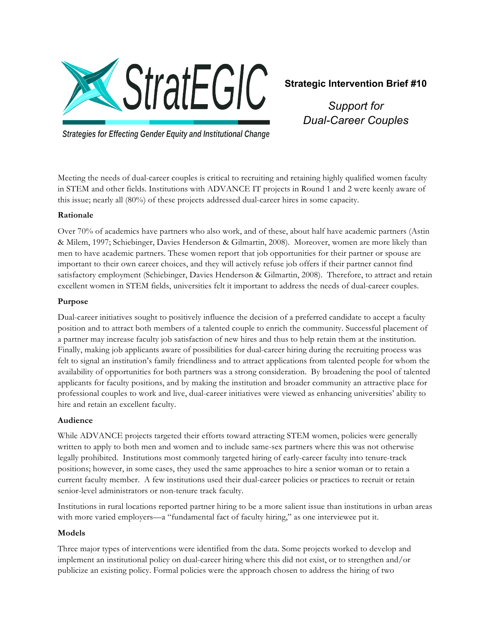

# **Strategic Intervention Brief #10**

*Support for Dual-Career Couples*

**Strategies for Effecting Gender Equity and Institutional Change** 

Meeting the needs of dual-career couples is critical to recruiting and retaining highly qualified women faculty in STEM and other fields. Institutions with ADVANCE IT projects in Round 1 and 2 were keenly aware of this issue; nearly all (80%) of these projects addressed dual-career hires in some capacity.

## **Rationale**

Over 70% of academics have partners who also work, and of these, about half have academic partners (Astin & Milem, 1997; Schiebinger, Davies Henderson & Gilmartin, 2008). Moreover, women are more likely than men to have academic partners. These women report that job opportunities for their partner or spouse are important to their own career choices, and they will actively refuse job offers if their partner cannot find satisfactory employment (Schiebinger, Davies Henderson & Gilmartin, 2008). Therefore, to attract and retain excellent women in STEM fields, universities felt it important to address the needs of dual-career couples.

## **Purpose**

Dual-career initiatives sought to positively influence the decision of a preferred candidate to accept a faculty position and to attract both members of a talented couple to enrich the community. Successful placement of a partner may increase faculty job satisfaction of new hires and thus to help retain them at the institution. Finally, making job applicants aware of possibilities for dual-career hiring during the recruiting process was felt to signal an institution's family friendliness and to attract applications from talented people for whom the availability of opportunities for both partners was a strong consideration. By broadening the pool of talented applicants for faculty positions, and by making the institution and broader community an attractive place for professional couples to work and live, dual-career initiatives were viewed as enhancing universities' ability to hire and retain an excellent faculty.

## **Audience**

While ADVANCE projects targeted their efforts toward attracting STEM women, policies were generally written to apply to both men and women and to include same-sex partners where this was not otherwise legally prohibited. Institutions most commonly targeted hiring of early-career faculty into tenure-track positions; however, in some cases, they used the same approaches to hire a senior woman or to retain a current faculty member. A few institutions used their dual-career policies or practices to recruit or retain senior-level administrators or non-tenure track faculty.

Institutions in rural locations reported partner hiring to be a more salient issue than institutions in urban areas with more varied employers—a "fundamental fact of faculty hiring," as one interviewee put it.

## **Models**

Three major types of interventions were identified from the data. Some projects worked to develop and implement an institutional policy on dual-career hiring where this did not exist, or to strengthen and/or publicize an existing policy. Formal policies were the approach chosen to address the hiring of two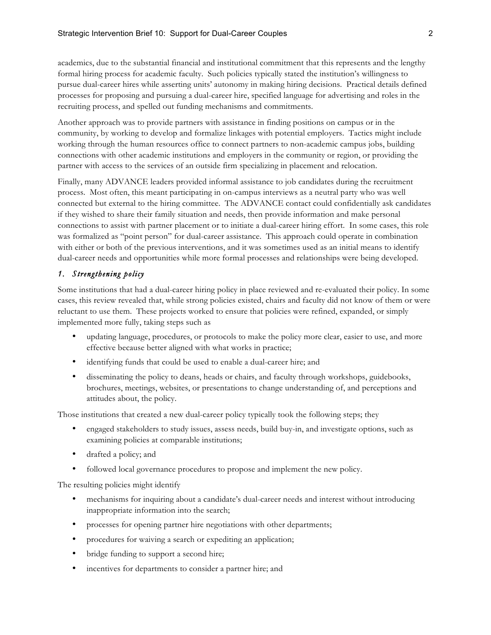academics, due to the substantial financial and institutional commitment that this represents and the lengthy formal hiring process for academic faculty. Such policies typically stated the institution's willingness to pursue dual-career hires while asserting units' autonomy in making hiring decisions. Practical details defined processes for proposing and pursuing a dual-career hire, specified language for advertising and roles in the recruiting process, and spelled out funding mechanisms and commitments.

Another approach was to provide partners with assistance in finding positions on campus or in the community, by working to develop and formalize linkages with potential employers. Tactics might include working through the human resources office to connect partners to non-academic campus jobs, building connections with other academic institutions and employers in the community or region, or providing the partner with access to the services of an outside firm specializing in placement and relocation.

Finally, many ADVANCE leaders provided informal assistance to job candidates during the recruitment process. Most often, this meant participating in on-campus interviews as a neutral party who was well connected but external to the hiring committee. The ADVANCE contact could confidentially ask candidates if they wished to share their family situation and needs, then provide information and make personal connections to assist with partner placement or to initiate a dual-career hiring effort. In some cases, this role was formalized as "point person" for dual-career assistance. This approach could operate in combination with either or both of the previous interventions, and it was sometimes used as an initial means to identify dual-career needs and opportunities while more formal processes and relationships were being developed.

## *1. Strengthening policy*

Some institutions that had a dual-career hiring policy in place reviewed and re-evaluated their policy. In some cases, this review revealed that, while strong policies existed, chairs and faculty did not know of them or were reluctant to use them. These projects worked to ensure that policies were refined, expanded, or simply implemented more fully, taking steps such as

- updating language, procedures, or protocols to make the policy more clear, easier to use, and more effective because better aligned with what works in practice;
- identifying funds that could be used to enable a dual-career hire; and
- disseminating the policy to deans, heads or chairs, and faculty through workshops, guidebooks, brochures, meetings, websites, or presentations to change understanding of, and perceptions and attitudes about, the policy.

Those institutions that created a new dual-career policy typically took the following steps; they

- engaged stakeholders to study issues, assess needs, build buy-in, and investigate options, such as examining policies at comparable institutions;
- drafted a policy; and
- followed local governance procedures to propose and implement the new policy.

The resulting policies might identify

- mechanisms for inquiring about a candidate's dual-career needs and interest without introducing inappropriate information into the search;
- processes for opening partner hire negotiations with other departments;
- procedures for waiving a search or expediting an application;
- bridge funding to support a second hire;
- incentives for departments to consider a partner hire; and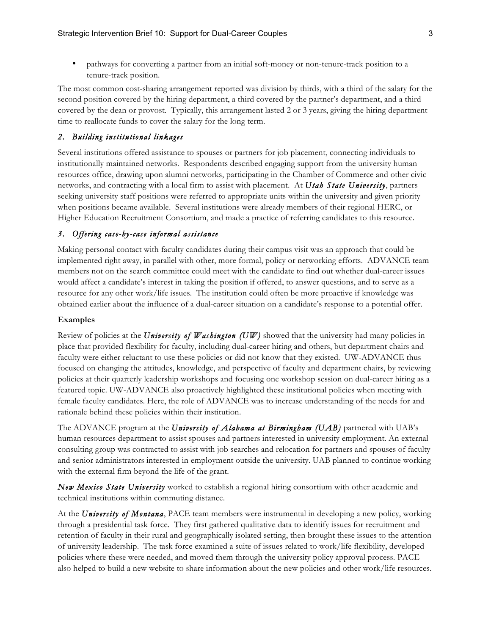• pathways for converting a partner from an initial soft-money or non-tenure-track position to a tenure-track position.

The most common cost-sharing arrangement reported was division by thirds, with a third of the salary for the second position covered by the hiring department, a third covered by the partner's department, and a third covered by the dean or provost. Typically, this arrangement lasted 2 or 3 years, giving the hiring department time to reallocate funds to cover the salary for the long term.

### *2. Building institutional linkages*

Several institutions offered assistance to spouses or partners for job placement, connecting individuals to institutionally maintained networks. Respondents described engaging support from the university human resources office, drawing upon alumni networks, participating in the Chamber of Commerce and other civic networks, and contracting with a local firm to assist with placement. At *Utah State University*, partners seeking university staff positions were referred to appropriate units within the university and given priority when positions became available. Several institutions were already members of their regional HERC, or Higher Education Recruitment Consortium, and made a practice of referring candidates to this resource.

### *3. Offering case-by-case informal assistance*

Making personal contact with faculty candidates during their campus visit was an approach that could be implemented right away, in parallel with other, more formal, policy or networking efforts. ADVANCE team members not on the search committee could meet with the candidate to find out whether dual-career issues would affect a candidate's interest in taking the position if offered, to answer questions, and to serve as a resource for any other work/life issues. The institution could often be more proactive if knowledge was obtained earlier about the influence of a dual-career situation on a candidate's response to a potential offer.

### **Examples**

Review of policies at the *University of Washington (UW)* showed that the university had many policies in place that provided flexibility for faculty, including dual-career hiring and others, but department chairs and faculty were either reluctant to use these policies or did not know that they existed. UW-ADVANCE thus focused on changing the attitudes, knowledge, and perspective of faculty and department chairs, by reviewing policies at their quarterly leadership workshops and focusing one workshop session on dual-career hiring as a featured topic. UW-ADVANCE also proactively highlighted these institutional policies when meeting with female faculty candidates. Here, the role of ADVANCE was to increase understanding of the needs for and rationale behind these policies within their institution.

The ADVANCE program at the *University of Alabama at Birmingham (UAB)* partnered with UAB's human resources department to assist spouses and partners interested in university employment. An external consulting group was contracted to assist with job searches and relocation for partners and spouses of faculty and senior administrators interested in employment outside the university. UAB planned to continue working with the external firm beyond the life of the grant.

*New Mexico State University* worked to establish a regional hiring consortium with other academic and technical institutions within commuting distance.

At the *University of Montana*, PACE team members were instrumental in developing a new policy, working through a presidential task force. They first gathered qualitative data to identify issues for recruitment and retention of faculty in their rural and geographically isolated setting, then brought these issues to the attention of university leadership. The task force examined a suite of issues related to work/life flexibility, developed policies where these were needed, and moved them through the university policy approval process. PACE also helped to build a new website to share information about the new policies and other work/life resources.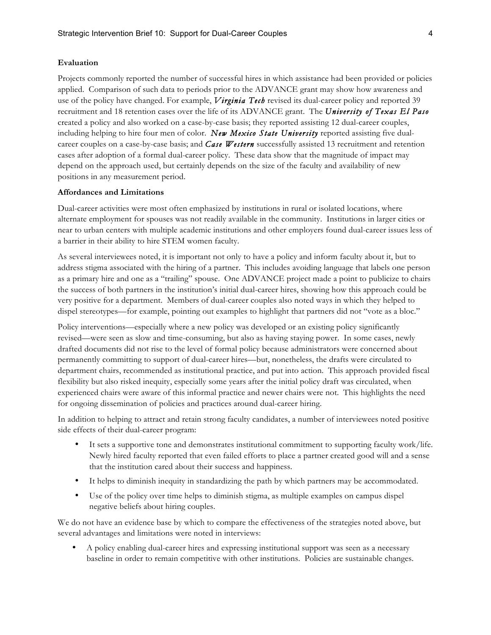#### **Evaluation**

Projects commonly reported the number of successful hires in which assistance had been provided or policies applied. Comparison of such data to periods prior to the ADVANCE grant may show how awareness and use of the policy have changed. For example, *Virginia Tech* revised its dual-career policy and reported 39 recruitment and 18 retention cases over the life of its ADVANCE grant. The *University of Texas El Paso* created a policy and also worked on a case-by-case basis; they reported assisting 12 dual-career couples, including helping to hire four men of color. *New Mexico State University* reported assisting five dualcareer couples on a case-by-case basis; and *Case Western* successfully assisted 13 recruitment and retention cases after adoption of a formal dual-career policy. These data show that the magnitude of impact may depend on the approach used, but certainly depends on the size of the faculty and availability of new positions in any measurement period.

#### **Affordances and Limitations**

Dual-career activities were most often emphasized by institutions in rural or isolated locations, where alternate employment for spouses was not readily available in the community. Institutions in larger cities or near to urban centers with multiple academic institutions and other employers found dual-career issues less of a barrier in their ability to hire STEM women faculty.

As several interviewees noted, it is important not only to have a policy and inform faculty about it, but to address stigma associated with the hiring of a partner. This includes avoiding language that labels one person as a primary hire and one as a "trailing" spouse. One ADVANCE project made a point to publicize to chairs the success of both partners in the institution's initial dual-career hires, showing how this approach could be very positive for a department. Members of dual-career couples also noted ways in which they helped to dispel stereotypes—for example, pointing out examples to highlight that partners did not "vote as a bloc."

Policy interventions—especially where a new policy was developed or an existing policy significantly revised—were seen as slow and time-consuming, but also as having staying power. In some cases, newly drafted documents did not rise to the level of formal policy because administrators were concerned about permanently committing to support of dual-career hires—but, nonetheless, the drafts were circulated to department chairs, recommended as institutional practice, and put into action. This approach provided fiscal flexibility but also risked inequity, especially some years after the initial policy draft was circulated, when experienced chairs were aware of this informal practice and newer chairs were not. This highlights the need for ongoing dissemination of policies and practices around dual-career hiring.

In addition to helping to attract and retain strong faculty candidates, a number of interviewees noted positive side effects of their dual-career program:

- It sets a supportive tone and demonstrates institutional commitment to supporting faculty work/life. Newly hired faculty reported that even failed efforts to place a partner created good will and a sense that the institution cared about their success and happiness.
- It helps to diminish inequity in standardizing the path by which partners may be accommodated.
- Use of the policy over time helps to diminish stigma, as multiple examples on campus dispel negative beliefs about hiring couples.

We do not have an evidence base by which to compare the effectiveness of the strategies noted above, but several advantages and limitations were noted in interviews:

• A policy enabling dual-career hires and expressing institutional support was seen as a necessary baseline in order to remain competitive with other institutions. Policies are sustainable changes.